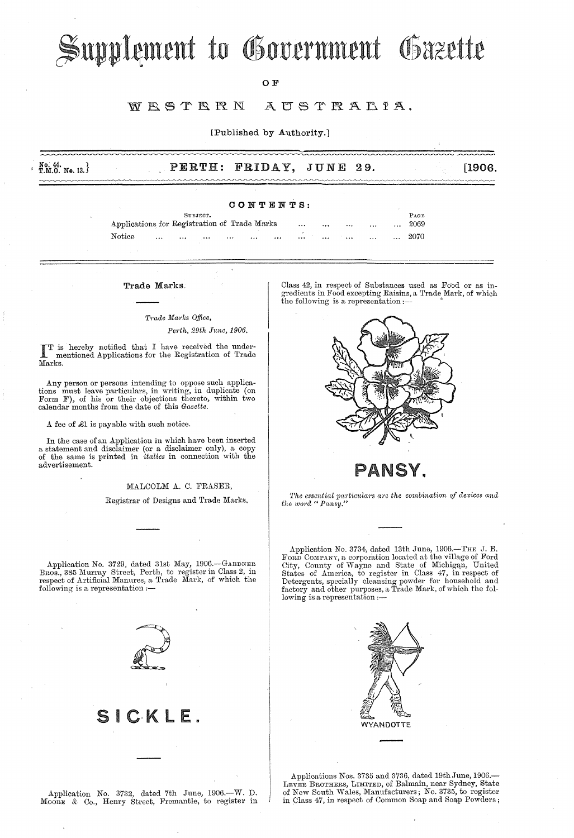# Supplement to Government Gazette

#### OF

#### WESTERN AUSTRALIA.

[Published by Authority.]

| No. 44.<br>T.M.O. No. 13.} |          |           | PERTH: FRIDAY, JUNE 29. | [1906] |
|----------------------------|----------|-----------|-------------------------|--------|
|                            |          |           |                         |        |
|                            |          | CONTENTS: |                         |        |
|                            | SUBJECT. |           |                         | PAGE   |

|                                              |          | SUBJECT. |          |          |          |          |          |          |          | FAGE. |
|----------------------------------------------|----------|----------|----------|----------|----------|----------|----------|----------|----------|-------|
| Applications for Registration of Trade Marks |          |          |          |          | $\cdots$ | $\cdots$ |          | $\cdots$ | $\cdots$ | 2069  |
| Notice                                       | $\cdots$ | <br>1.11 | $\cdots$ | $\cdots$ | <br>     |          | $\cdots$ | $\cdots$ | $\cdots$ | 2070  |

### *Tmde Martks Office,*

Perth, 29th June, 1906.

IT is hereby notified that I have received the under-<br>mentioned Applications for the Registration of Trade Marks.

Any person or persons intending to oppose such applica-tions must leave particulars, in writing, in duplicate (on Form F), of his or their objections thereto, within two calendar months from the date of this *Gazette.* 

A fee of £1 is payable with such notice.

In the case of an Application in which have been inserted a statement and disclaimer (or a disclaimer only), a copy of the same is printed in *italics* in connection with the advertisement.

#### MALCOLM A. C. FRASER,

Registrar of Designs and Trade Marks.

Trade Marks. (Class 42, in respect of Substances used as Food or as ingredients in Food excepting Raisins, a Trade Mark, of which the following is a representation :-



PANSY.

The essential particulars are the combination of devices and *the word" Pnnsy."* 

Application No. 3734, dated 13th June, 1906.—THE J. B.<br>FORD COMPANY, a corporation located at the village of Ford<br>City, County of Wayne and State of Michigan, United States of America, to register in Chss 47, in respect of Detergents, specially cleansing powder for household and factory and other purposes, a Trade Mark, of which the following is a representation ;-



Applications Nos. 3735 and 3736, dated 19th June, 1906.- LEVER BROTHERS, LIMITED, of Balmain, near Sydney, State of New South Wales, Manufacturers; No. 3735, to register in Class 47, in respect of Common Soap and Soap Powders;

Application No. 3729, dated 31st May, 1906.-GARDNER Bros., 385 Murray Street, Perth, to register in Class 2, in<br>respect of Artificial Manures, a Trade Mark, of which the following is a representation  $:-$ 



Application No. 3732, dated 7th June,  $1906 - W$ . D. MOORE & Co., Henry Street, Fremantle, to register in